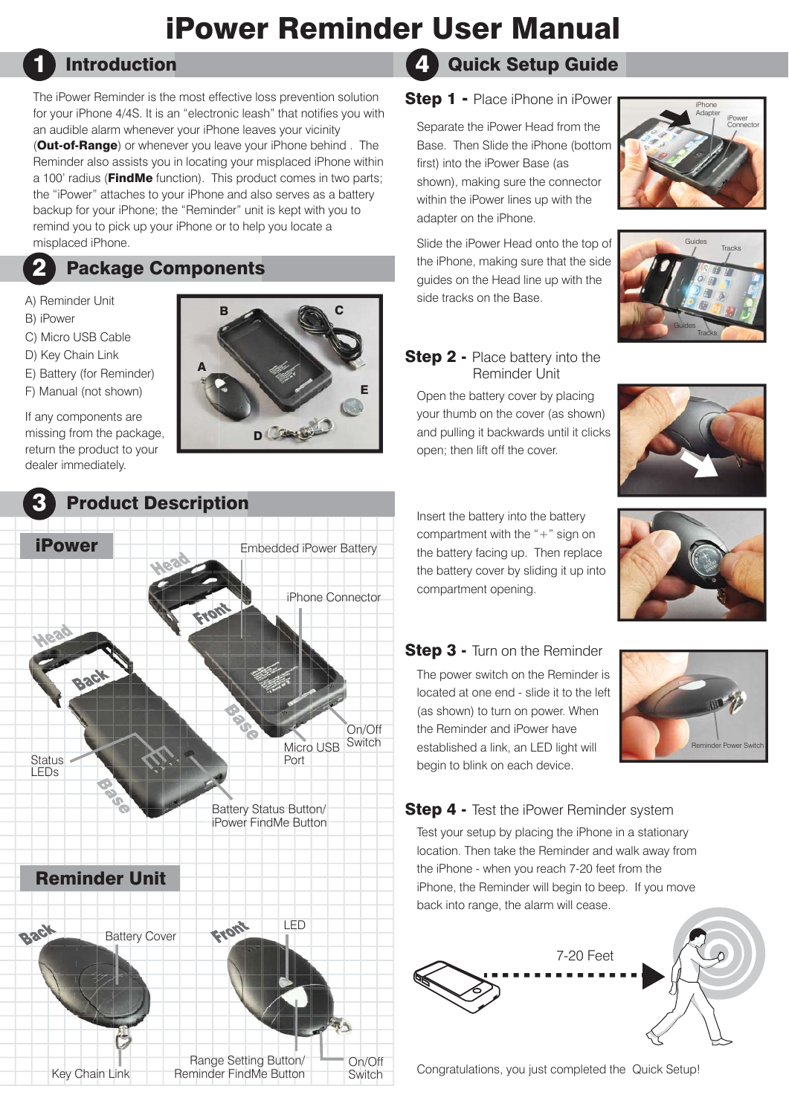# iPower Reminder User Manual

## Introduction

The iPower Reminder is the most effective loss prevention solution for your iPhone 4/4S. It is an "electronic leash" that notifies you with an audible alarm whenever your iPhone leaves your vicinity (Out-of-Range) or whenever you leave your iPhone behind . The Reminder also assists you in locating your misplaced iPhone within a 100' radius (**FindMe** function). This product comes in two parts; the "iPower" attaches to your iPhone and also serves as a battery backup for your iPhone; the "Reminder" unit is kept with you to remind you to pick up your iPhone or to help you locate a misplaced iPhone.

## Package Components

### A) Reminder Unit

B) iPower

2

1

- C) Micro USB Cable
- D) Key Chain Link
- E) Battery (for Reminder)
- F) Manual (not shown)

If any components are missing from the package, return the product to your dealer immediately.





## Reminder Unit



#### Quick Setup Guide 4

## Step 1 - Place iPhone in iPower

Separate the iPower Head from the Base. Then Slide the iPhone (bottom first) into the iPower Base (as shown), making sure the connector within the iPower lines up with the adapter on the iPhone.

Slide the iPower Head onto the top of the iPhone, making sure that the side guides on the Head line up with the side tracks on the Base.





## **Step 2 - Place battery into the** Reminder Unit

Open the battery cover by placing your thumb on the cover (as shown) and pulling it backwards until it clicks open; then lift off the cover.



Insert the battery into the battery compartment with the "+" sign on the battery facing up. Then replace the battery cover by sliding it up into compartment opening.



## **Step 3 - Turn on the Reminder**

The power switch on the Reminder is located at one end - slide it to the left (as shown) to turn on power. When the Reminder and iPower have established a link, an LED light will begin to blink on each device.



**Step 4 - Test the iPower Reminder system** 

Test your setup by placing the iPhone in a stationary location. Then take the Reminder and walk away from the iPhone - when you reach 7-20 feet from the iPhone, the Reminder will begin to beep. If you move back into range, the alarm will cease.



Congratulations, you just completed the Quick Setup!